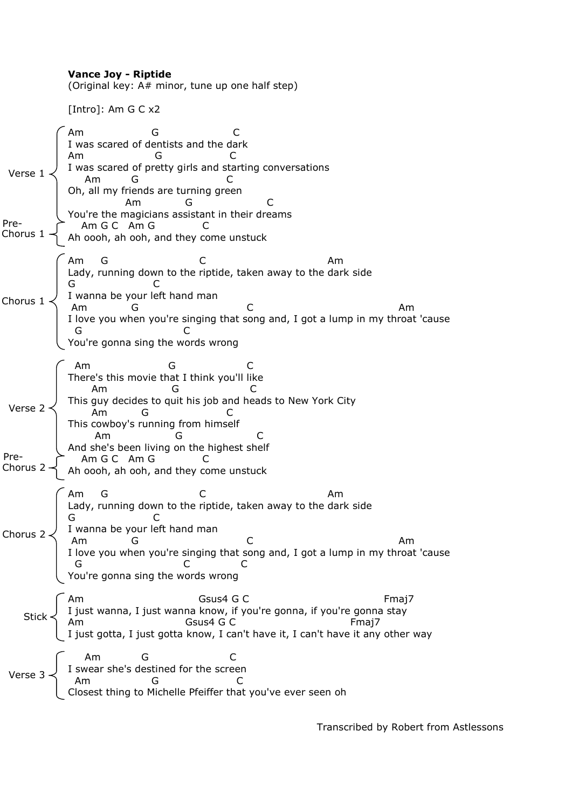**Vance Joy - Riptide** (Original key: A# minor, tune up one half step) [Intro]: Am G C x2 Am G C I was scared of dentists and the dark Am G C I was scared of pretty girls and starting conversations Am G C Oh, all my friends are turning green Am G C You're the magicians assistant in their dreams Am G C Am G C Ah oooh, ah ooh, and they come unstuck Am G C Am Lady, running down to the riptide, taken away to the dark side G C I wanna be your left hand man Am G C Am I love you when you're singing that song and, I got a lump in my throat 'cause G C You're gonna sing the words wrong Am G C There's this movie that I think you'll like Am G C This guy decides to quit his job and heads to New York City Am G C This cowboy's running from himself Am G C And she's been living on the highest shelf Am G C Am G C Ah oooh, ah ooh, and they come unstuck Am G C Am Lady, running down to the riptide, taken away to the dark side G C I wanna be your left hand man Am G C Am I love you when you're singing that song and, I got a lump in my throat 'cause G C C You're gonna sing the words wrong Gsus4 G C Fmaj7 I just wanna, I just wanna know, if you're gonna, if you're gonna stay Am Gsus4 G C Fmaj7 I just gotta, I just gotta know, I can't have it, I can't have it any other way Am G C I swear she's destined for the screen Am G C Closest thing to Michelle Pfeiffer that you've ever seen oh Verse 1 Chorus 1 Pre-Chorus 1 Chorus 2 Pre-Verse 2 Chorus 2 Stick Verse 3

Transcribed by Robert from Astlessons